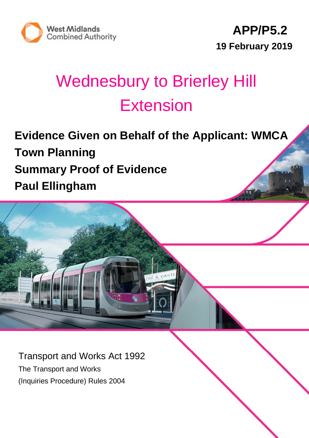



# Wednesbury to Brierley Hill Extension

**Evidence Given on Behalf of the Applicant: WMCA Town Planning Summary Proof of Evidence Paul Ellingham**

Transport and Works Act 1992 The Transport and Works (Inquiries Procedure) Rules 2004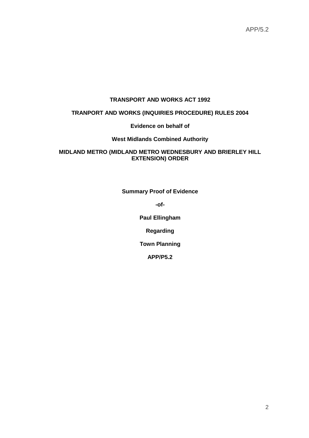#### **TRANSPORT AND WORKS ACT 1992**

#### **TRANPORT AND WORKS (INQUIRIES PROCEDURE) RULES 2004**

#### **Evidence on behalf of**

#### **West Midlands Combined Authority**

#### **MIDLAND METRO (MIDLAND METRO WEDNESBURY AND BRIERLEY HILL EXTENSION) ORDER**

**Summary Proof of Evidence**

**-of-**

**Paul Ellingham**

**Regarding**

**Town Planning**

**APP/P5.2**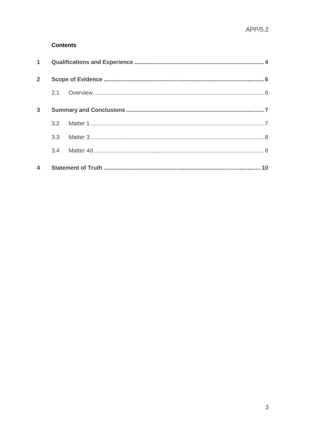#### **Contents**

|             | 3.3 <sub>1</sub> |  |  |  |  |
|-------------|------------------|--|--|--|--|
|             | $3.2^{\circ}$    |  |  |  |  |
| 3           |                  |  |  |  |  |
|             |                  |  |  |  |  |
| $2^{\circ}$ |                  |  |  |  |  |
|             |                  |  |  |  |  |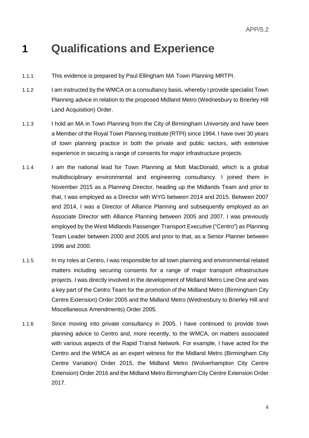### **1 Qualifications and Experience**

- 1.1.1 This evidence is prepared by Paul Ellingham MA Town Planning MRTPI.
- 1.1.2 I am instructed by the WMCA on a consultancy basis, whereby I provide specialist Town Planning advice in relation to the proposed Midland Metro (Wednesbury to Brierley Hill Land Acquisition) Order.
- 1.1.3 I hold an MA in Town Planning from the City of Birmingham University and have been a Member of the Royal Town Planning Institute (RTPI) since 1994. I have over 30 years of town planning practice in both the private and public sectors, with extensive experience in securing a range of consents for major infrastructure projects.
- 1.1.4 I am the national lead for Town Planning at Mott MacDonald, which is a global multidisciplinary environmental and engineering consultancy. I joined them in November 2015 as a Planning Director, heading up the Midlands Team and prior to that, I was employed as a Director with WYG between 2014 and 2015. Between 2007 and 2014, I was a Director of Alliance Planning and subsequently employed as an Associate Director with Alliance Planning between 2005 and 2007. I was previously employed by the West Midlands Passenger Transport Executive ("Centro") as Planning Team Leader between 2000 and 2005 and prior to that, as a Senior Planner between 1996 and 2000.
- 1.1.5 In my roles at Centro, I was responsible for all town planning and environmental related matters including securing consents for a range of major transport infrastructure projects. I was directly involved in the development of Midland Metro Line One and was a key part of the Centro Team for the promotion of the Midland Metro (Birmingham City Centre Extension) Order 2005 and the Midland Metro (Wednesbury to Brierley Hill and Miscellaneous Amendments) Order 2005.
- 1.1.6 Since moving into private consultancy in 2005, I have continued to provide town planning advice to Centro and, more recently, to the WMCA, on matters associated with various aspects of the Rapid Transit Network. For example, I have acted for the Centro and the WMCA as an expert witness for the Midland Metro (Birmingham City Centre Variation) Order 2015, the Midland Metro (Wolverhampton City Centre Extension) Order 2016 and the Midland Metro Birmingham City Centre Extension Order 2017.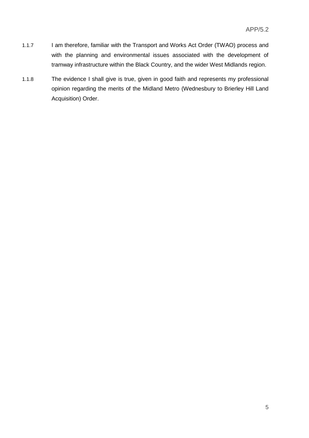- 1.1.7 I am therefore, familiar with the Transport and Works Act Order (TWAO) process and with the planning and environmental issues associated with the development of tramway infrastructure within the Black Country, and the wider West Midlands region.
- 1.1.8 The evidence I shall give is true, given in good faith and represents my professional opinion regarding the merits of the Midland Metro (Wednesbury to Brierley Hill Land Acquisition) Order.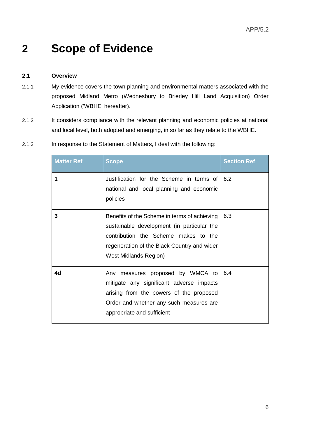# **2 Scope of Evidence**

#### **2.1 Overview**

- 2.1.1 My evidence covers the town planning and environmental matters associated with the proposed Midland Metro (Wednesbury to Brierley Hill Land Acquisition) Order Application ('WBHE' hereafter).
- 2.1.2 It considers compliance with the relevant planning and economic policies at national and local level, both adopted and emerging, in so far as they relate to the WBHE.

| <b>Matter Ref</b> | <b>Scope</b>                                                                                                                                                                                                      | <b>Section Ref</b> |
|-------------------|-------------------------------------------------------------------------------------------------------------------------------------------------------------------------------------------------------------------|--------------------|
| 1                 | Justification for the Scheme in terms of<br>national and local planning and economic<br>policies                                                                                                                  | 6.2                |
| 3                 | Benefits of the Scheme in terms of achieving<br>sustainable development (in particular the<br>contribution the Scheme makes to the<br>regeneration of the Black Country and wider<br><b>West Midlands Region)</b> | 6.3                |
| 4d                | Any measures proposed by WMCA to<br>mitigate any significant adverse impacts<br>arising from the powers of the proposed<br>Order and whether any such measures are<br>appropriate and sufficient                  | 6.4                |

2.1.3 In response to the Statement of Matters, I deal with the following: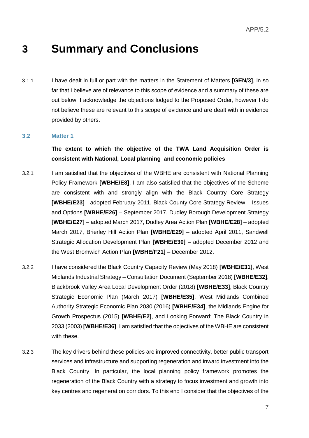### **3 Summary and Conclusions**

3.1.1 I have dealt in full or part with the matters in the Statement of Matters **[GEN/3]**, in so far that I believe are of relevance to this scope of evidence and a summary of these are out below. I acknowledge the objections lodged to the Proposed Order, however I do not believe these are relevant to this scope of evidence and are dealt with in evidence provided by others.

#### **3.2 Matter 1**

#### **The extent to which the objective of the TWA Land Acquisition Order is consistent with National, Local planning and economic policies**

- 3.2.1 I am satisfied that the objectives of the WBHE are consistent with National Planning Policy Framework **[WBHE/E8]**. I am also satisfied that the objectives of the Scheme are consistent with and strongly align with the Black Country Core Strategy **[WBHE/E23]** - adopted February 2011, Black County Core Strategy Review – Issues and Options **[WBHE/E26]** – September 2017, Dudley Borough Development Strategy **[WBHE/E27]** – adopted March 2017, Dudley Area Action Plan **[WBHE/E28]** – adopted March 2017, Brierley Hill Action Plan **[WBHE/E29]** – adopted April 2011, Sandwell Strategic Allocation Development Plan **[WBHE/E30]** – adopted December 2012 and the West Bromwich Action Plan **[WBHE/F21]** – December 2012.
- 3.2.2 I have considered the Black Country Capacity Review (May 2018) **[WBHE/E31]**, West Midlands Industrial Strategy – Consultation Document (September 2018) **[WBHE/E32]**, Blackbrook Valley Area Local Development Order (2018) **[WBHE/E33]**, Black Country Strategic Economic Plan (March 2017) **[WBHE/E35]**, West Midlands Combined Authority Strategic Economic Plan 2030 (2016) **[WBHE/E34]**, the Midlands Engine for Growth Prospectus (2015) **[WBHE/E2]**, and Looking Forward: The Black Country in 2033 (2003) **[WBHE/E36]**. I am satisfied that the objectives of the WBHE are consistent with these.
- 3.2.3 The key drivers behind these policies are improved connectivity, better public transport services and infrastructure and supporting regeneration and inward investment into the Black Country. In particular, the local planning policy framework promotes the regeneration of the Black Country with a strategy to focus investment and growth into key centres and regeneration corridors. To this end I consider that the objectives of the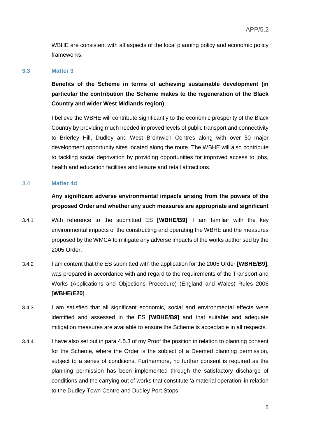WBHE are consistent with all aspects of the local planning policy and economic policy frameworks.

#### **3.3 Matter 3**

**Benefits of the Scheme in terms of achieving sustainable development (in particular the contribution the Scheme makes to the regeneration of the Black Country and wider West Midlands region)**

I believe the WBHE will contribute significantly to the economic prosperity of the Black Country by providing much needed improved levels of public transport and connectivity to Brierley Hill, Dudley and West Bromwich Centres along with over 50 major development opportunity sites located along the route. The WBHE will also contribute to tackling social deprivation by providing opportunities for improved access to jobs, health and education facilities and leisure and retail attractions.

#### **3.4 Matter 4d**

**Any significant adverse environmental impacts arising from the powers of the proposed Order and whether any such measures are appropriate and significant**

- 3.4.1 With reference to the submitted ES **[WBHE/B9]**, I am familiar with the key environmental impacts of the constructing and operating the WBHE and the measures proposed by the WMCA to mitigate any adverse impacts of the works authorised by the 2005 Order.
- 3.4.2 I am content that the ES submitted with the application for the 2005 Order **[WBHE/B9]**, was prepared in accordance with and regard to the requirements of the Transport and Works (Applications and Objections Procedure) (England and Wales) Rules 2006 **[WBHE/E20]**.
- 3.4.3 I am satisfied that all significant economic, social and environmental effects were identified and assessed in the ES **[WBHE/B9]** and that suitable and adequate mitigation measures are available to ensure the Scheme is acceptable in all respects.
- 3.4.4 I have also set out in para 4.5.3 of my Proof the position in relation to planning consent for the Scheme, where the Order is the subject of a Deemed planning permission, subject to a series of conditions. Furthermore, no further consent is required as the planning permission has been implemented through the satisfactory discharge of conditions and the carrying out of works that constitute 'a material operation' in relation to the Dudley Town Centre and Dudley Port Stops.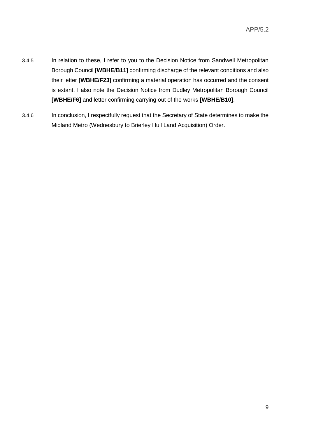- 3.4.5 In relation to these, I refer to you to the Decision Notice from Sandwell Metropolitan Borough Council **[WBHE/B11]** confirming discharge of the relevant conditions and also their letter **[WBHE/F23]** confirming a material operation has occurred and the consent is extant. I also note the Decision Notice from Dudley Metropolitan Borough Council **[WBHE/F6]** and letter confirming carrying out of the works **[WBHE/B10]**.
- 3.4.6 In conclusion, I respectfully request that the Secretary of State determines to make the Midland Metro (Wednesbury to Brierley Hull Land Acquisition) Order.